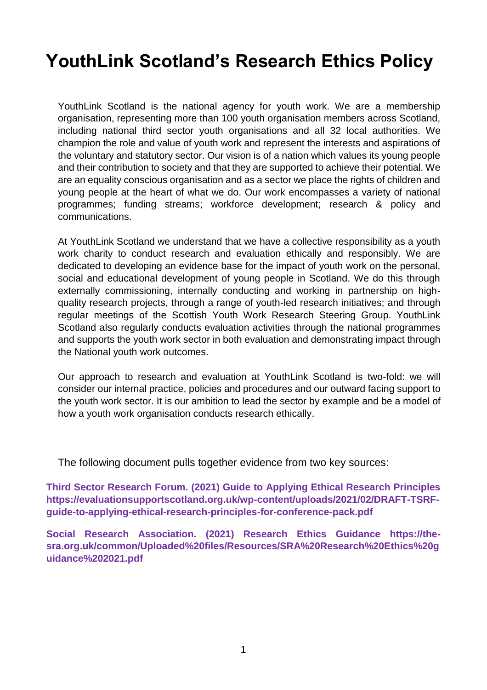# **YouthLink Scotland's Research Ethics Policy**

YouthLink Scotland is the national agency for youth work. We are a membership organisation, representing more than 100 youth organisation members across Scotland, including national third sector youth organisations and all 32 local authorities. We champion the role and value of youth work and represent the interests and aspirations of the voluntary and statutory sector. Our vision is of a nation which values its young people and their contribution to society and that they are supported to achieve their potential. We are an equality conscious organisation and as a sector we place the rights of children and young people at the heart of what we do. Our work encompasses a variety of national programmes; funding streams; workforce development; research & policy and communications.

At YouthLink Scotland we understand that we have a collective responsibility as a youth work charity to conduct research and evaluation ethically and responsibly. We are dedicated to developing an evidence base for the impact of youth work on the personal, social and educational development of young people in Scotland. We do this through externally commissioning, internally conducting and working in partnership on highquality research projects, through a range of youth-led research initiatives; and through regular meetings of the Scottish Youth Work Research Steering Group. YouthLink Scotland also regularly conducts evaluation activities through the national programmes and supports the youth work sector in both evaluation and demonstrating impact through the National youth work outcomes.

Our approach to research and evaluation at YouthLink Scotland is two-fold: we will consider our internal practice, policies and procedures and our outward facing support to the youth work sector. It is our ambition to lead the sector by example and be a model of how a youth work organisation conducts research ethically.

The following document pulls together evidence from two key sources:

**Third Sector Research Forum. (2021) Guide to Applying Ethical Research Principles https://evaluationsupportscotland.org.uk/wp-content/uploads/2021/02/DRAFT-TSRFguide-to-applying-ethical-research-principles-for-conference-pack.pdf**

**Social Research Association. (2021) Research Ethics Guidance https://thesra.org.uk/common/Uploaded%20files/Resources/SRA%20Research%20Ethics%20g uidance%202021.pdf**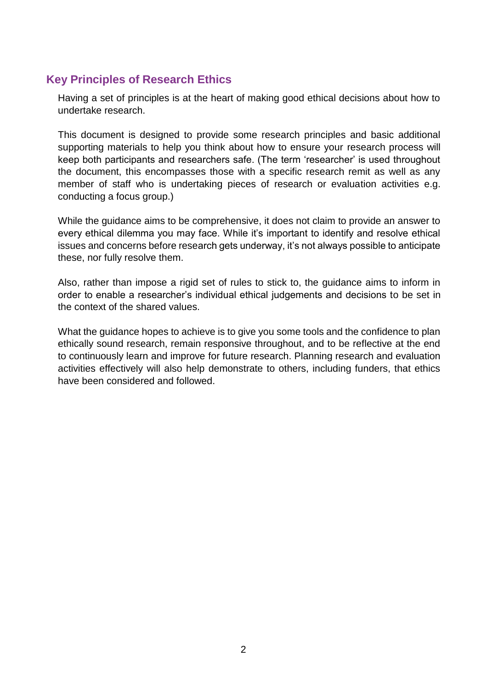## **Key Principles of Research Ethics**

Having a set of principles is at the heart of making good ethical decisions about how to undertake research.

This document is designed to provide some research principles and basic additional supporting materials to help you think about how to ensure your research process will keep both participants and researchers safe. (The term 'researcher' is used throughout the document, this encompasses those with a specific research remit as well as any member of staff who is undertaking pieces of research or evaluation activities e.g. conducting a focus group.)

While the guidance aims to be comprehensive, it does not claim to provide an answer to every ethical dilemma you may face. While it's important to identify and resolve ethical issues and concerns before research gets underway, it's not always possible to anticipate these, nor fully resolve them.

Also, rather than impose a rigid set of rules to stick to, the guidance aims to inform in order to enable a researcher's individual ethical judgements and decisions to be set in the context of the shared values.

What the guidance hopes to achieve is to give you some tools and the confidence to plan ethically sound research, remain responsive throughout, and to be reflective at the end to continuously learn and improve for future research. Planning research and evaluation activities effectively will also help demonstrate to others, including funders, that ethics have been considered and followed.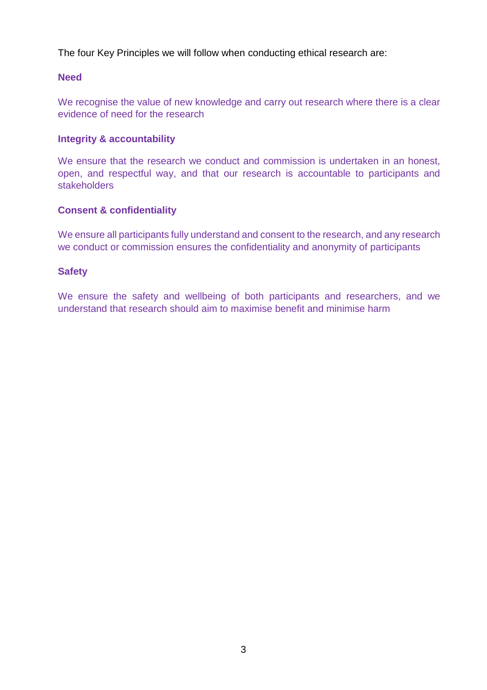The four Key Principles we will follow when conducting ethical research are:

#### **Need**

We recognise the value of new knowledge and carry out research where there is a clear evidence of need for the research

#### **Integrity & accountability**

We ensure that the research we conduct and commission is undertaken in an honest, open, and respectful way, and that our research is accountable to participants and stakeholders

#### **Consent & confidentiality**

We ensure all participants fully understand and consent to the research, and any research we conduct or commission ensures the confidentiality and anonymity of participants

#### **Safety**

We ensure the safety and wellbeing of both participants and researchers, and we understand that research should aim to maximise benefit and minimise harm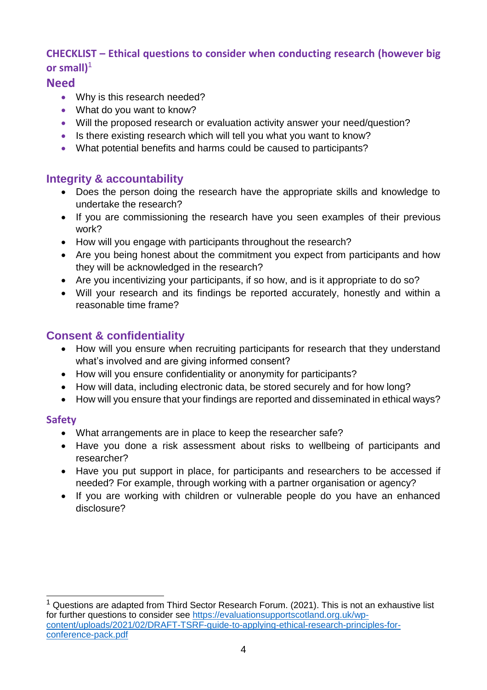## **CHECKLIST – Ethical questions to consider when conducting research (however big or small)**<sup>1</sup>

#### **Need**

- Why is this research needed?
- What do you want to know?
- Will the proposed research or evaluation activity answer your need/question?
- Is there existing research which will tell you what you want to know?
- What potential benefits and harms could be caused to participants?

## **Integrity & accountability**

- Does the person doing the research have the appropriate skills and knowledge to undertake the research?
- If you are commissioning the research have you seen examples of their previous work?
- How will you engage with participants throughout the research?
- Are you being honest about the commitment you expect from participants and how they will be acknowledged in the research?
- Are you incentivizing your participants, if so how, and is it appropriate to do so?
- Will your research and its findings be reported accurately, honestly and within a reasonable time frame?

# **Consent & confidentiality**

- How will you ensure when recruiting participants for research that they understand what's involved and are giving informed consent?
- How will you ensure confidentiality or anonymity for participants?
- How will data, including electronic data, be stored securely and for how long?
- How will you ensure that your findings are reported and disseminated in ethical ways?

#### **Safety**

- What arrangements are in place to keep the researcher safe?
- Have you done a risk assessment about risks to wellbeing of participants and researcher?
- Have you put support in place, for participants and researchers to be accessed if needed? For example, through working with a partner organisation or agency?
- If you are working with children or vulnerable people do you have an enhanced disclosure?

 $\overline{a}$ Questions are adapted from Third Sector Research Forum. (2021). This is not an exhaustive list for further questions to consider see [https://evaluationsupportscotland.org.uk/wp](https://evaluationsupportscotland.org.uk/wp-content/uploads/2021/02/DRAFT-TSRF-guide-to-applying-ethical-research-principles-for-conference-pack.pdf)[content/uploads/2021/02/DRAFT-TSRF-guide-to-applying-ethical-research-principles-for](https://evaluationsupportscotland.org.uk/wp-content/uploads/2021/02/DRAFT-TSRF-guide-to-applying-ethical-research-principles-for-conference-pack.pdf)[conference-pack.pdf](https://evaluationsupportscotland.org.uk/wp-content/uploads/2021/02/DRAFT-TSRF-guide-to-applying-ethical-research-principles-for-conference-pack.pdf)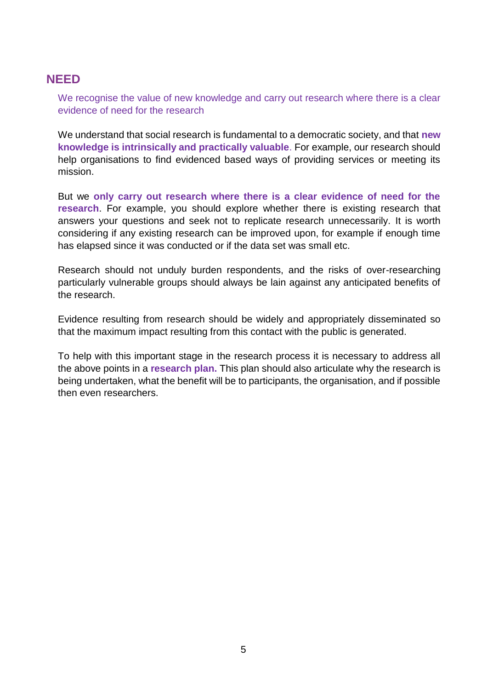## **NEED**

We recognise the value of new knowledge and carry out research where there is a clear evidence of need for the research

We understand that social research is fundamental to a democratic society, and that **new knowledge is intrinsically and practically valuable**. For example, our research should help organisations to find evidenced based ways of providing services or meeting its mission.

But we **only carry out research where there is a clear evidence of need for the research**. For example, you should explore whether there is existing research that answers your questions and seek not to replicate research unnecessarily. It is worth considering if any existing research can be improved upon, for example if enough time has elapsed since it was conducted or if the data set was small etc.

Research should not unduly burden respondents, and the risks of over-researching particularly vulnerable groups should always be lain against any anticipated benefits of the research.

Evidence resulting from research should be widely and appropriately disseminated so that the maximum impact resulting from this contact with the public is generated.

To help with this important stage in the research process it is necessary to address all the above points in a **research plan.** This plan should also articulate why the research is being undertaken, what the benefit will be to participants, the organisation, and if possible then even researchers.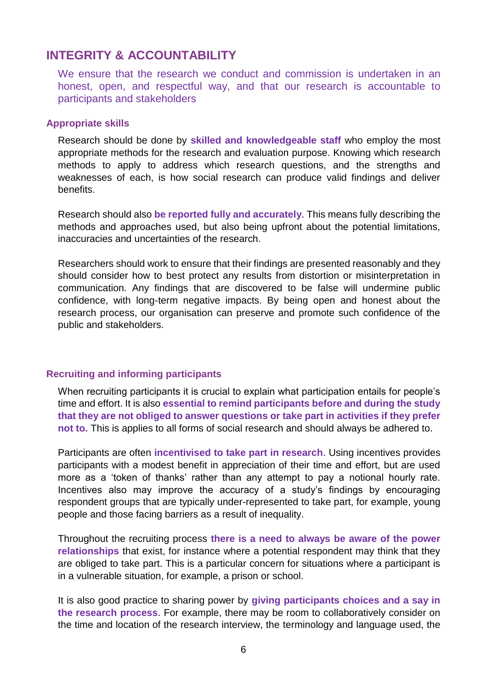## **INTEGRITY & ACCOUNTABILITY**

We ensure that the research we conduct and commission is undertaken in an honest, open, and respectful way, and that our research is accountable to participants and stakeholders

#### **Appropriate skills**

Research should be done by **skilled and knowledgeable staff** who employ the most appropriate methods for the research and evaluation purpose. Knowing which research methods to apply to address which research questions, and the strengths and weaknesses of each, is how social research can produce valid findings and deliver benefits.

Research should also **be reported fully and accurately**. This means fully describing the methods and approaches used, but also being upfront about the potential limitations, inaccuracies and uncertainties of the research.

Researchers should work to ensure that their findings are presented reasonably and they should consider how to best protect any results from distortion or misinterpretation in communication. Any findings that are discovered to be false will undermine public confidence, with long-term negative impacts. By being open and honest about the research process, our organisation can preserve and promote such confidence of the public and stakeholders.

#### **Recruiting and informing participants**

When recruiting participants it is crucial to explain what participation entails for people's time and effort. It is also **essential to remind participants before and during the study that they are not obliged to answer questions or take part in activities if they prefer not to.** This is applies to all forms of social research and should always be adhered to.

Participants are often **incentivised to take part in research**. Using incentives provides participants with a modest benefit in appreciation of their time and effort, but are used more as a 'token of thanks' rather than any attempt to pay a notional hourly rate. Incentives also may improve the accuracy of a study's findings by encouraging respondent groups that are typically under-represented to take part, for example, young people and those facing barriers as a result of inequality.

Throughout the recruiting process **there is a need to always be aware of the power relationships** that exist, for instance where a potential respondent may think that they are obliged to take part. This is a particular concern for situations where a participant is in a vulnerable situation, for example, a prison or school.

It is also good practice to sharing power by **giving participants choices and a say in the research process**. For example, there may be room to collaboratively consider on the time and location of the research interview, the terminology and language used, the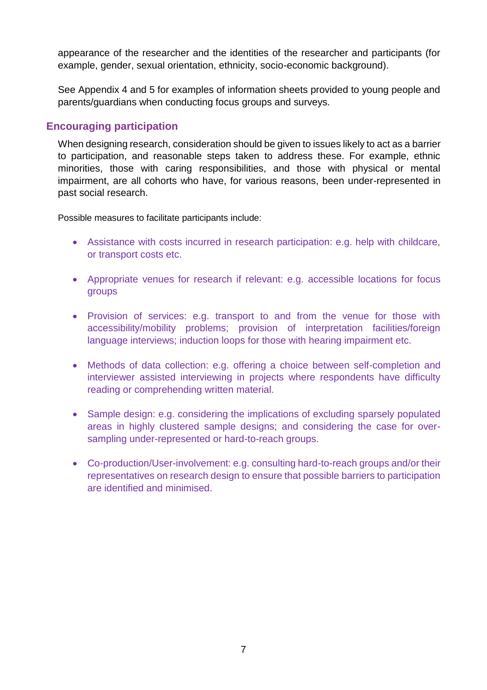appearance of the researcher and the identities of the researcher and participants (for example, gender, sexual orientation, ethnicity, socio-economic background).

See Appendix 4 and 5 for examples of information sheets provided to young people and parents/guardians when conducting focus groups and surveys.

#### **Encouraging participation**

When designing research, consideration should be given to issues likely to act as a barrier to participation, and reasonable steps taken to address these. For example, ethnic minorities, those with caring responsibilities, and those with physical or mental impairment, are all cohorts who have, for various reasons, been under-represented in past social research.

Possible measures to facilitate participants include:

- Assistance with costs incurred in research participation: e.g. help with childcare, or transport costs etc.
- Appropriate venues for research if relevant: e.g. accessible locations for focus groups
- Provision of services: e.g. transport to and from the venue for those with accessibility/mobility problems; provision of interpretation facilities/foreign language interviews; induction loops for those with hearing impairment etc.
- Methods of data collection: e.g. offering a choice between self-completion and interviewer assisted interviewing in projects where respondents have difficulty reading or comprehending written material.
- Sample design: e.g. considering the implications of excluding sparsely populated areas in highly clustered sample designs; and considering the case for oversampling under-represented or hard-to-reach groups.
- Co-production/User-involvement: e.g. consulting hard-to-reach groups and/or their representatives on research design to ensure that possible barriers to participation are identified and minimised.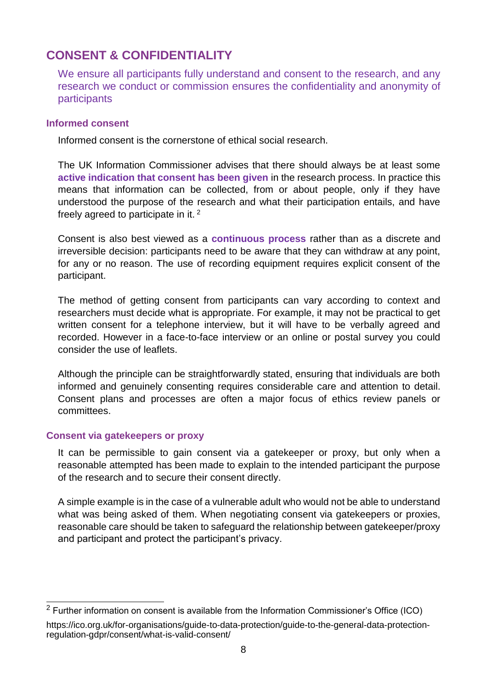# **CONSENT & CONFIDENTIALITY**

We ensure all participants fully understand and consent to the research, and any research we conduct or commission ensures the confidentiality and anonymity of participants

#### **Informed consent**

Informed consent is the cornerstone of ethical social research.

The UK Information Commissioner advises that there should always be at least some **active indication that consent has been given** in the research process. In practice this means that information can be collected, from or about people, only if they have understood the purpose of the research and what their participation entails, and have freely agreed to participate in it. <sup>2</sup>

Consent is also best viewed as a **continuous process** rather than as a discrete and irreversible decision: participants need to be aware that they can withdraw at any point, for any or no reason. The use of recording equipment requires explicit consent of the participant.

The method of getting consent from participants can vary according to context and researchers must decide what is appropriate. For example, it may not be practical to get written consent for a telephone interview, but it will have to be verbally agreed and recorded. However in a face-to-face interview or an online or postal survey you could consider the use of leaflets.

Although the principle can be straightforwardly stated, ensuring that individuals are both informed and genuinely consenting requires considerable care and attention to detail. Consent plans and processes are often a major focus of ethics review panels or committees.

#### **Consent via gatekeepers or proxy**

It can be permissible to gain consent via a gatekeeper or proxy, but only when a reasonable attempted has been made to explain to the intended participant the purpose of the research and to secure their consent directly.

A simple example is in the case of a vulnerable adult who would not be able to understand what was being asked of them. When negotiating consent via gatekeepers or proxies, reasonable care should be taken to safeguard the relationship between gatekeeper/proxy and participant and protect the participant's privacy.

 $\overline{a}$ <sup>2</sup> Further information on consent is available from the Information Commissioner's Office (ICO)

https://ico.org.uk/for-organisations/guide-to-data-protection/guide-to-the-general-data-protectionregulation-gdpr/consent/what-is-valid-consent/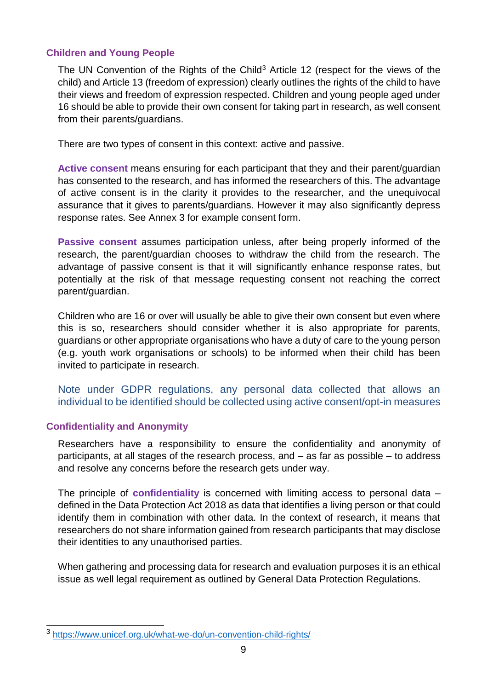#### **Children and Young People**

The UN Convention of the Rights of the Child<sup>3</sup> Article 12 (respect for the views of the child) and Article 13 (freedom of expression) clearly outlines the rights of the child to have their views and freedom of expression respected. Children and young people aged under 16 should be able to provide their own consent for taking part in research, as well consent from their parents/guardians.

There are two types of consent in this context: active and passive.

**Active consent** means ensuring for each participant that they and their parent/guardian has consented to the research, and has informed the researchers of this. The advantage of active consent is in the clarity it provides to the researcher, and the unequivocal assurance that it gives to parents/guardians. However it may also significantly depress response rates. See Annex 3 for example consent form.

**Passive consent** assumes participation unless, after being properly informed of the research, the parent/guardian chooses to withdraw the child from the research. The advantage of passive consent is that it will significantly enhance response rates, but potentially at the risk of that message requesting consent not reaching the correct parent/guardian.

Children who are 16 or over will usually be able to give their own consent but even where this is so, researchers should consider whether it is also appropriate for parents, guardians or other appropriate organisations who have a duty of care to the young person (e.g. youth work organisations or schools) to be informed when their child has been invited to participate in research.

Note under GDPR regulations, any personal data collected that allows an individual to be identified should be collected using active consent/opt-in measures

#### **Confidentiality and Anonymity**

Researchers have a responsibility to ensure the confidentiality and anonymity of participants, at all stages of the research process, and – as far as possible – to address and resolve any concerns before the research gets under way.

The principle of **confidentiality** is concerned with limiting access to personal data – defined in the Data Protection Act 2018 as data that identifies a living person or that could identify them in combination with other data. In the context of research, it means that researchers do not share information gained from research participants that may disclose their identities to any unauthorised parties.

When gathering and processing data for research and evaluation purposes it is an ethical issue as well legal requirement as outlined by General Data Protection Regulations.

 $\overline{a}$ 3 <https://www.unicef.org.uk/what-we-do/un-convention-child-rights/>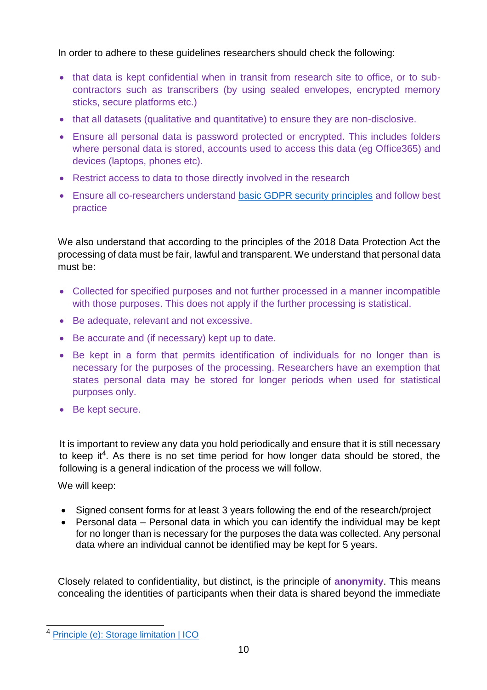In order to adhere to these guidelines researchers should check the following:

- that data is kept confidential when in transit from research site to office, or to subcontractors such as transcribers (by using sealed envelopes, encrypted memory sticks, secure platforms etc.)
- that all datasets (qualitative and quantitative) to ensure they are non-disclosive.
- Ensure all personal data is password protected or encrypted. This includes folders where personal data is stored, accounts used to access this data (eg Office365) and devices (laptops, phones etc).
- Restrict access to data to those directly involved in the research
- Ensure all co-researchers understand [basic GDPR security principles](https://ico.org.uk/for-organisations/guide-to-data-protection/guide-to-the-general-data-protection-regulation-gdpr/security/#2) and follow best practice

We also understand that according to the principles of the 2018 Data Protection Act the processing of data must be fair, lawful and transparent. We understand that personal data must be:

- Collected for specified purposes and not further processed in a manner incompatible with those purposes. This does not apply if the further processing is statistical.
- Be adequate, relevant and not excessive.
- Be accurate and (if necessary) kept up to date.
- Be kept in a form that permits identification of individuals for no longer than is necessary for the purposes of the processing. Researchers have an exemption that states personal data may be stored for longer periods when used for statistical purposes only.
- Be kept secure.

It is important to review any data you hold periodically and ensure that it is still necessary to keep it<sup>4</sup>. As there is no set time period for how longer data should be stored, the following is a general indication of the process we will follow.

We will keep:

- Signed consent forms for at least 3 years following the end of the research/project
- Personal data Personal data in which you can identify the individual may be kept for no longer than is necessary for the purposes the data was collected. Any personal data where an individual cannot be identified may be kept for 5 years.

Closely related to confidentiality, but distinct, is the principle of **anonymity**. This means concealing the identities of participants when their data is shared beyond the immediate

 $\overline{a}$ 4 [Principle \(e\): Storage limitation | ICO](https://ico.org.uk/for-organisations/guide-to-data-protection/guide-to-the-general-data-protection-regulation-gdpr/principles/storage-limitation/)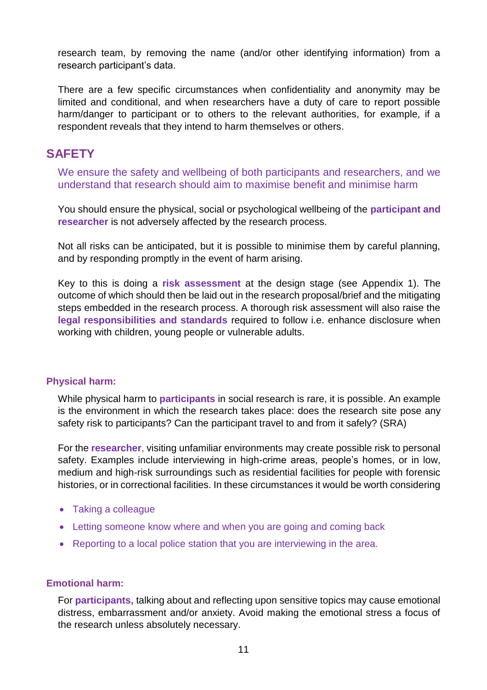research team, by removing the name (and/or other identifying information) from a research participant's data.

There are a few specific circumstances when confidentiality and anonymity may be limited and conditional, and when researchers have a duty of care to report possible harm/danger to participant or to others to the relevant authorities, for example, if a respondent reveals that they intend to harm themselves or others.

## **SAFETY**

We ensure the safety and wellbeing of both participants and researchers, and we understand that research should aim to maximise benefit and minimise harm

You should ensure the physical, social or psychological wellbeing of the **participant and researcher** is not adversely affected by the research process.

Not all risks can be anticipated, but it is possible to minimise them by careful planning, and by responding promptly in the event of harm arising.

Key to this is doing a **risk assessment** at the design stage (see Appendix 1). The outcome of which should then be laid out in the research proposal/brief and the mitigating steps embedded in the research process. A thorough risk assessment will also raise the **legal responsibilities and standards** required to follow i.e. enhance disclosure when working with children, young people or vulnerable adults.

#### **Physical harm:**

While physical harm to **participants** in social research is rare, it is possible. An example is the environment in which the research takes place: does the research site pose any safety risk to participants? Can the participant travel to and from it safely? (SRA)

For the **researcher**, visiting unfamiliar environments may create possible risk to personal safety. Examples include interviewing in high-crime areas, people's homes, or in low, medium and high-risk surroundings such as residential facilities for people with forensic histories, or in correctional facilities. In these circumstances it would be worth considering

- Taking a colleague
- Letting someone know where and when you are going and coming back
- Reporting to a local police station that you are interviewing in the area.

#### **Emotional harm:**

For **participants,** talking about and reflecting upon sensitive topics may cause emotional distress, embarrassment and/or anxiety. Avoid making the emotional stress a focus of the research unless absolutely necessary.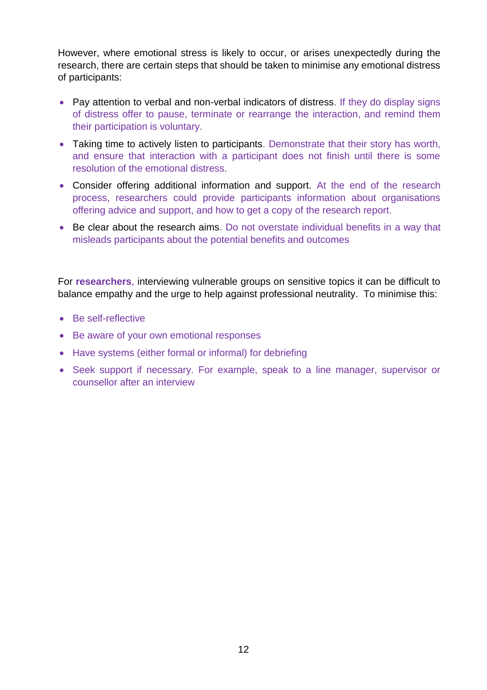However, where emotional stress is likely to occur, or arises unexpectedly during the research, there are certain steps that should be taken to minimise any emotional distress of participants:

- Pay attention to verbal and non-verbal indicators of distress. If they do display signs of distress offer to pause, terminate or rearrange the interaction, and remind them their participation is voluntary.
- Taking time to actively listen to participants. Demonstrate that their story has worth, and ensure that interaction with a participant does not finish until there is some resolution of the emotional distress.
- Consider offering additional information and support. At the end of the research process, researchers could provide participants information about organisations offering advice and support, and how to get a copy of the research report.
- Be clear about the research aims. Do not overstate individual benefits in a way that misleads participants about the potential benefits and outcomes

For **researchers**, interviewing vulnerable groups on sensitive topics it can be difficult to balance empathy and the urge to help against professional neutrality. To minimise this:

- Be self-reflective
- Be aware of your own emotional responses
- Have systems (either formal or informal) for debriefing
- Seek support if necessary. For example, speak to a line manager, supervisor or counsellor after an interview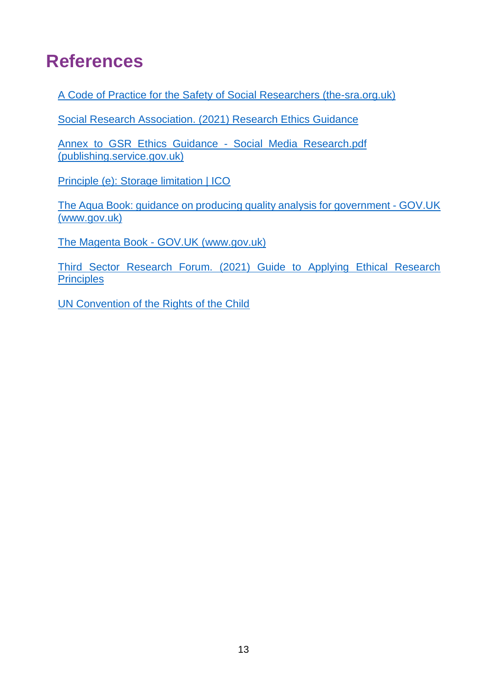# **References**

[A Code of Practice for the Safety of Social Researchers \(the-sra.org.uk\)](https://www.the-sra.org.uk/common/Uploaded%20files/SRA-safety-code-of-practice.pdf)

[Social Research Association. \(2021\) Research Ethics Guidance](https://the-sra.org.uk/common/Uploaded%20files/Resources/SRA%20Research%20Ethics%20guidance%202021.pdf)

[Annex\\_to\\_GSR\\_Ethics\\_Guidance\\_-\\_Social\\_Media\\_Research.pdf](https://assets.publishing.service.gov.uk/government/uploads/system/uploads/attachment_data/file/524754/Annex_to_GSR_Ethics_Guidance_-_Social_Media_Research.pdf)  [\(publishing.service.gov.uk\)](https://assets.publishing.service.gov.uk/government/uploads/system/uploads/attachment_data/file/524754/Annex_to_GSR_Ethics_Guidance_-_Social_Media_Research.pdf)

[Principle \(e\): Storage limitation | ICO](https://ico.org.uk/for-organisations/guide-to-data-protection/guide-to-the-general-data-protection-regulation-gdpr/principles/storage-limitation/)

[The Aqua Book: guidance on producing quality analysis for government -](https://www.gov.uk/government/publications/the-aqua-book-guidance-on-producing-quality-analysis-for-government) GOV.UK [\(www.gov.uk\)](https://www.gov.uk/government/publications/the-aqua-book-guidance-on-producing-quality-analysis-for-government)

The Magenta Book - [GOV.UK \(www.gov.uk\)](https://www.gov.uk/government/publications/the-magenta-book)

[Third Sector Research Forum. \(2021\) Guide to Applying Ethical Research](https://evaluationsupportscotland.org.uk/wp-content/uploads/2021/02/DRAFT-TSRF-guide-to-applying-ethical-research-principles-for-conference-pack.pdf)  **[Principles](https://evaluationsupportscotland.org.uk/wp-content/uploads/2021/02/DRAFT-TSRF-guide-to-applying-ethical-research-principles-for-conference-pack.pdf)** 

[UN Convention of the Rights of the Child](https://www.unicef.org.uk/what-we-do/un-convention-child-rights/)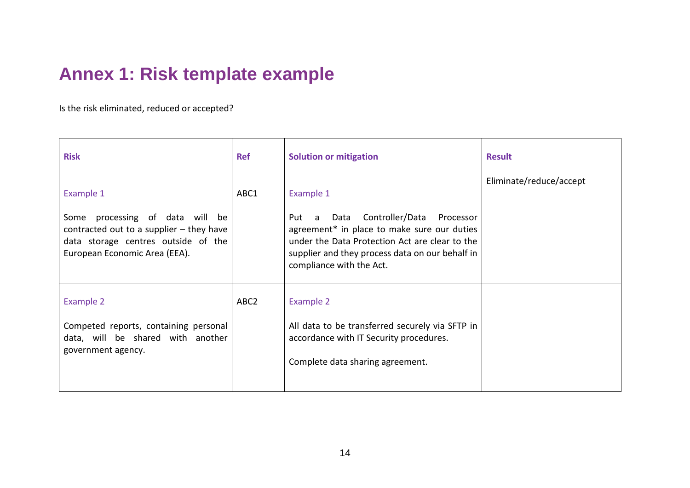# **Annex 1: Risk template example**

Is the risk eliminated, reduced or accepted?

| <b>Risk</b>                                                                                                                                                        | <b>Ref</b>       | <b>Solution or mitigation</b>                                                                                                                                                                                                                | <b>Result</b>           |
|--------------------------------------------------------------------------------------------------------------------------------------------------------------------|------------------|----------------------------------------------------------------------------------------------------------------------------------------------------------------------------------------------------------------------------------------------|-------------------------|
| Example 1<br>Some processing of data will be<br>contracted out to a supplier $-$ they have<br>data storage centres outside of the<br>European Economic Area (EEA). | ABC1             | Example 1<br>Data Controller/Data<br>Processor<br>Put<br>a a<br>agreement* in place to make sure our duties<br>under the Data Protection Act are clear to the<br>supplier and they process data on our behalf in<br>compliance with the Act. | Eliminate/reduce/accept |
| Example 2<br>Competed reports, containing personal<br>data, will be shared with another<br>government agency.                                                      | ABC <sub>2</sub> | Example 2<br>All data to be transferred securely via SFTP in<br>accordance with IT Security procedures.<br>Complete data sharing agreement.                                                                                                  |                         |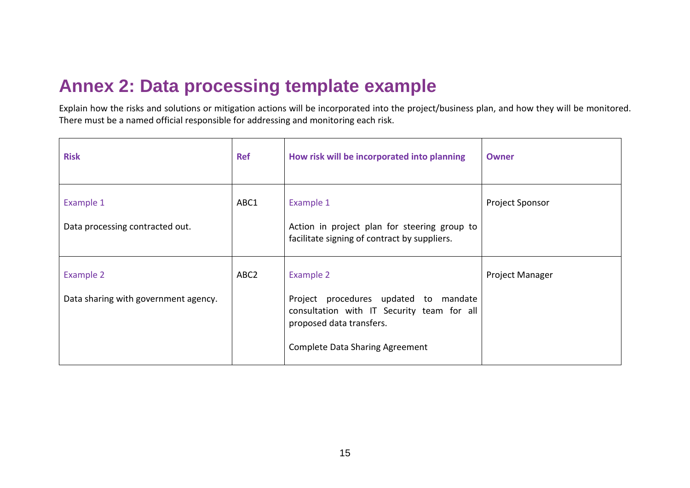# **Annex 2: Data processing template example**

Explain how the risks and solutions or mitigation actions will be incorporated into the project/business plan, and how they will be monitored. There must be a named official responsible for addressing and monitoring each risk.

| <b>Risk</b>                                       | <b>Ref</b>       | How risk will be incorporated into planning                                                                                                                            | Owner                  |
|---------------------------------------------------|------------------|------------------------------------------------------------------------------------------------------------------------------------------------------------------------|------------------------|
| Example 1<br>Data processing contracted out.      | ABC1             | Example 1<br>Action in project plan for steering group to<br>facilitate signing of contract by suppliers.                                                              | Project Sponsor        |
| Example 2<br>Data sharing with government agency. | ABC <sub>2</sub> | Example 2<br>Project procedures updated to mandate<br>consultation with IT Security team for all<br>proposed data transfers.<br><b>Complete Data Sharing Agreement</b> | <b>Project Manager</b> |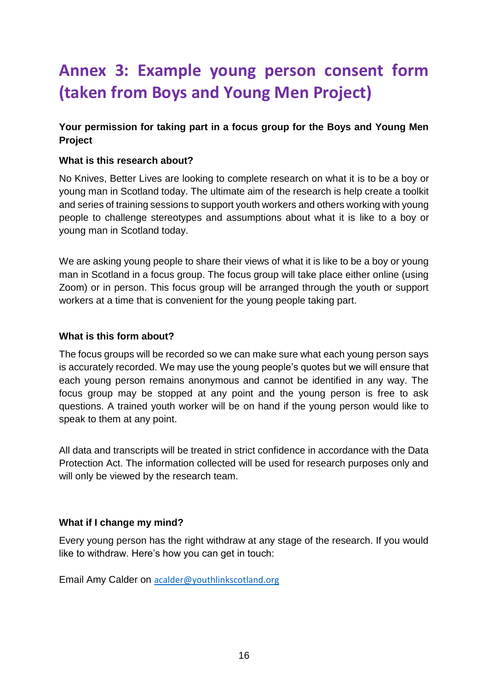# **Annex 3: Example young person consent form (taken from Boys and Young Men Project)**

#### **Your permission for taking part in a focus group for the Boys and Young Men Project**

#### **What is this research about?**

No Knives, Better Lives are looking to complete research on what it is to be a boy or young man in Scotland today. The ultimate aim of the research is help create a toolkit and series of training sessions to support youth workers and others working with young people to challenge stereotypes and assumptions about what it is like to a boy or young man in Scotland today.

We are asking young people to share their views of what it is like to be a boy or young man in Scotland in a focus group. The focus group will take place either online (using Zoom) or in person. This focus group will be arranged through the youth or support workers at a time that is convenient for the young people taking part.

#### **What is this form about?**

The focus groups will be recorded so we can make sure what each young person says is accurately recorded. We may use the young people's quotes but we will ensure that each young person remains anonymous and cannot be identified in any way. The focus group may be stopped at any point and the young person is free to ask questions. A trained youth worker will be on hand if the young person would like to speak to them at any point.

All data and transcripts will be treated in strict confidence in accordance with the Data Protection Act. The information collected will be used for research purposes only and will only be viewed by the research team.

#### **What if I change my mind?**

Every young person has the right withdraw at any stage of the research. If you would like to withdraw. Here's how you can get in touch:

Email Amy Calder on [acalder@youthlinkscotland.org](mailto:acalder@youthlinkscotland.org)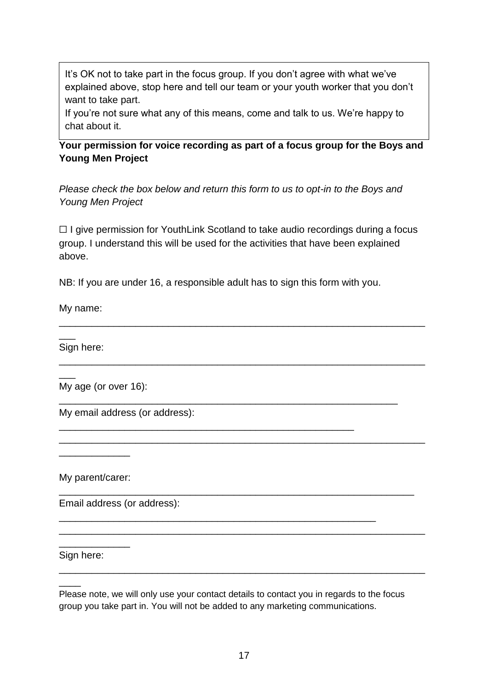It's OK not to take part in the focus group. If you don't agree with what we've explained above, stop here and tell our team or your youth worker that you don't want to take part.

If you're not sure what any of this means, come and talk to us. We're happy to chat about it.

#### **Your permission for voice recording as part of a focus group for the Boys and Young Men Project**

*Please check the box below and return this form to us to opt-in to the Boys and Young Men Project*

☐ I give permission for YouthLink Scotland to take audio recordings during a focus group. I understand this will be used for the activities that have been explained above.

\_\_\_\_\_\_\_\_\_\_\_\_\_\_\_\_\_\_\_\_\_\_\_\_\_\_\_\_\_\_\_\_\_\_\_\_\_\_\_\_\_\_\_\_\_\_\_\_\_\_\_\_\_\_\_\_\_\_\_\_\_\_\_\_\_\_\_

\_\_\_\_\_\_\_\_\_\_\_\_\_\_\_\_\_\_\_\_\_\_\_\_\_\_\_\_\_\_\_\_\_\_\_\_\_\_\_\_\_\_\_\_\_\_\_\_\_\_\_\_\_\_\_\_\_\_\_\_\_\_\_\_\_\_\_

\_\_\_\_\_\_\_\_\_\_\_\_\_\_\_\_\_\_\_\_\_\_\_\_\_\_\_\_\_\_\_\_\_\_\_\_\_\_\_\_\_\_\_\_\_\_\_\_\_\_\_\_\_\_\_\_\_\_\_\_\_\_\_\_\_\_\_

\_\_\_\_\_\_\_\_\_\_\_\_\_\_\_\_\_\_\_\_\_\_\_\_\_\_\_\_\_\_\_\_\_\_\_\_\_\_\_\_\_\_\_\_\_\_\_\_\_\_\_\_\_\_\_\_\_\_\_\_\_\_\_\_\_

\_\_\_\_\_\_\_\_\_\_\_\_\_\_\_\_\_\_\_\_\_\_\_\_\_\_\_\_\_\_\_\_\_\_\_\_\_\_\_\_\_\_\_\_\_\_\_\_\_\_\_\_\_\_\_\_\_\_\_\_\_\_\_\_\_\_\_

\_\_\_\_\_\_\_\_\_\_\_\_\_\_\_\_\_\_\_\_\_\_\_\_\_\_\_\_\_\_\_\_\_\_\_\_\_\_\_\_\_\_\_\_\_\_\_\_\_\_\_\_\_\_\_\_\_\_\_\_\_\_\_\_\_\_\_

\_\_\_\_\_\_\_\_\_\_\_\_\_\_\_\_\_\_\_\_\_\_\_\_\_\_\_\_\_\_\_\_\_\_\_\_\_\_\_\_\_\_\_\_\_\_\_\_\_\_\_\_\_\_\_\_\_\_

\_\_\_\_\_\_\_\_\_\_\_\_\_\_\_\_\_\_\_\_\_\_\_\_\_\_\_\_\_\_\_\_\_\_\_\_\_\_\_\_\_\_\_\_\_\_\_\_\_\_\_\_\_\_\_\_\_\_\_\_\_\_

\_\_\_\_\_\_\_\_\_\_\_\_\_\_\_\_\_\_\_\_\_\_\_\_\_\_\_\_\_\_\_\_\_\_\_\_\_\_\_\_\_\_\_\_\_\_\_\_\_\_\_\_\_\_

NB: If you are under 16, a responsible adult has to sign this form with you.

My name:

Sign here:

 $\overline{\phantom{a}}$ 

 $\overline{\phantom{a}}$ 

My age (or over 16):

My email address (or address):

My parent/carer:

\_\_\_\_\_\_\_\_\_\_\_\_\_

Email address (or address):

#### Sign here:

 $\overline{\phantom{a}}$ 

\_\_\_\_\_\_\_\_\_\_\_\_\_

Please note, we will only use your contact details to contact you in regards to the focus group you take part in. You will not be added to any marketing communications.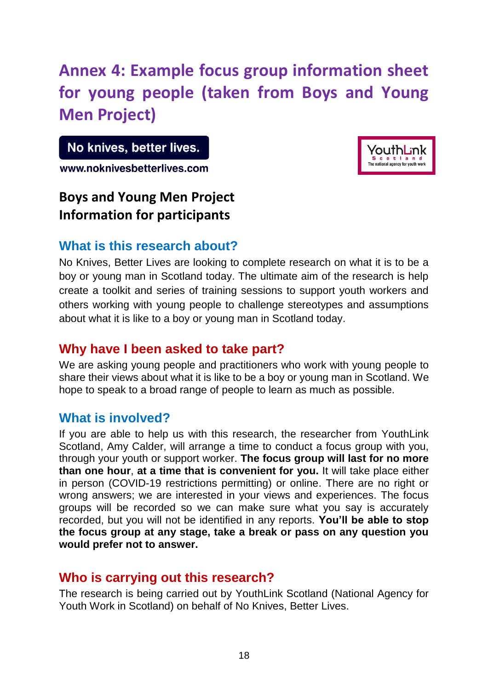# **Annex 4: Example focus group information sheet for young people (taken from Boys and Young Men Project)**

No knives, better lives.

www.noknivesbetterlives.com

# **Boys and Young Men Project Information for participants**



# **What is this research about?**

No Knives, Better Lives are looking to complete research on what it is to be a boy or young man in Scotland today. The ultimate aim of the research is help create a toolkit and series of training sessions to support youth workers and others working with young people to challenge stereotypes and assumptions about what it is like to a boy or young man in Scotland today.

# **Why have I been asked to take part?**

We are asking young people and practitioners who work with young people to share their views about what it is like to be a boy or young man in Scotland. We hope to speak to a broad range of people to learn as much as possible.

# **What is involved?**

If you are able to help us with this research, the researcher from YouthLink Scotland, Amy Calder, will arrange a time to conduct a focus group with you, through your youth or support worker. **The focus group will last for no more than one hour**, **at a time that is convenient for you.** It will take place either in person (COVID-19 restrictions permitting) or online. There are no right or wrong answers; we are interested in your views and experiences. The focus groups will be recorded so we can make sure what you say is accurately recorded, but you will not be identified in any reports. **You'll be able to stop the focus group at any stage, take a break or pass on any question you would prefer not to answer.**

# **Who is carrying out this research?**

The research is being carried out by YouthLink Scotland (National Agency for Youth Work in Scotland) on behalf of No Knives, Better Lives.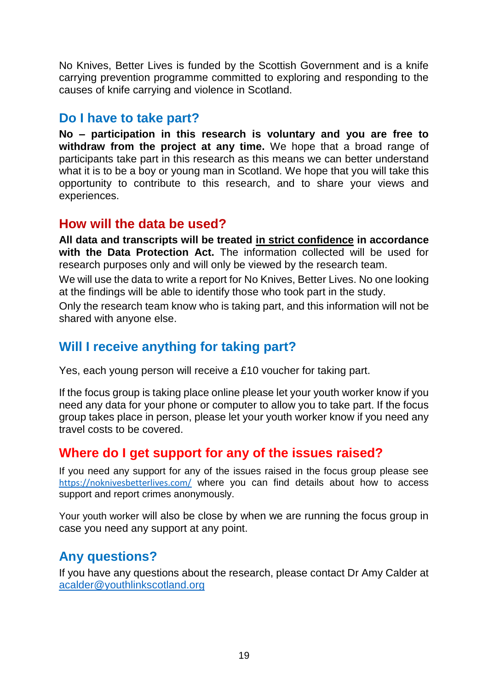No Knives, Better Lives is funded by the Scottish Government and is a knife carrying prevention programme committed to exploring and responding to the causes of knife carrying and violence in Scotland.

# **Do I have to take part?**

**No – participation in this research is voluntary and you are free to withdraw from the project at any time.** We hope that a broad range of participants take part in this research as this means we can better understand what it is to be a boy or young man in Scotland. We hope that you will take this opportunity to contribute to this research, and to share your views and experiences.

# **How will the data be used?**

**All data and transcripts will be treated in strict confidence in accordance with the Data Protection Act.** The information collected will be used for research purposes only and will only be viewed by the research team.

We will use the data to write a report for No Knives, Better Lives. No one looking at the findings will be able to identify those who took part in the study.

Only the research team know who is taking part, and this information will not be shared with anyone else.

# **Will I receive anything for taking part?**

Yes, each young person will receive a £10 voucher for taking part.

If the focus group is taking place online please let your youth worker know if you need any data for your phone or computer to allow you to take part. If the focus group takes place in person, please let your youth worker know if you need any travel costs to be covered.

# **Where do I get support for any of the issues raised?**

If you need any support for any of the issues raised in the focus group please see <https://noknivesbetterlives.com/> where you can find details about how to access support and report crimes anonymously.

Your youth worker will also be close by when we are running the focus group in case you need any support at any point.

# **Any questions?**

If you have any questions about the research, please contact Dr Amy Calder at [acalder@youthlinkscotland.org](mailto:acalder@youthlinkscotland.org)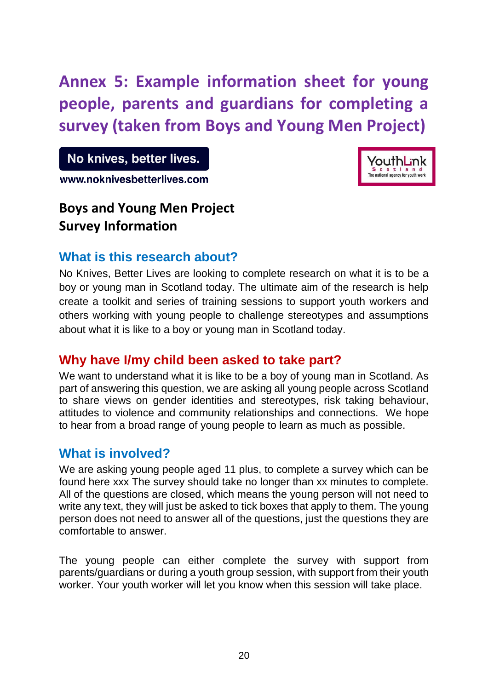**Annex 5: Example information sheet for young people, parents and guardians for completing a survey (taken from Boys and Young Men Project)**

No knives, better lives.

www.noknivesbetterlives.com

# /outhLink

# **Boys and Young Men Project Survey Information**

# **What is this research about?**

No Knives, Better Lives are looking to complete research on what it is to be a boy or young man in Scotland today. The ultimate aim of the research is help create a toolkit and series of training sessions to support youth workers and others working with young people to challenge stereotypes and assumptions about what it is like to a boy or young man in Scotland today.

# **Why have I/my child been asked to take part?**

We want to understand what it is like to be a boy of young man in Scotland. As part of answering this question, we are asking all young people across Scotland to share views on gender identities and stereotypes, risk taking behaviour, attitudes to violence and community relationships and connections. We hope to hear from a broad range of young people to learn as much as possible.

# **What is involved?**

We are asking young people aged 11 plus, to complete a survey which can be found here xxx The survey should take no longer than xx minutes to complete. All of the questions are closed, which means the young person will not need to write any text, they will just be asked to tick boxes that apply to them. The young person does not need to answer all of the questions, just the questions they are comfortable to answer.

The young people can either complete the survey with support from parents/guardians or during a youth group session, with support from their youth worker. Your youth worker will let you know when this session will take place.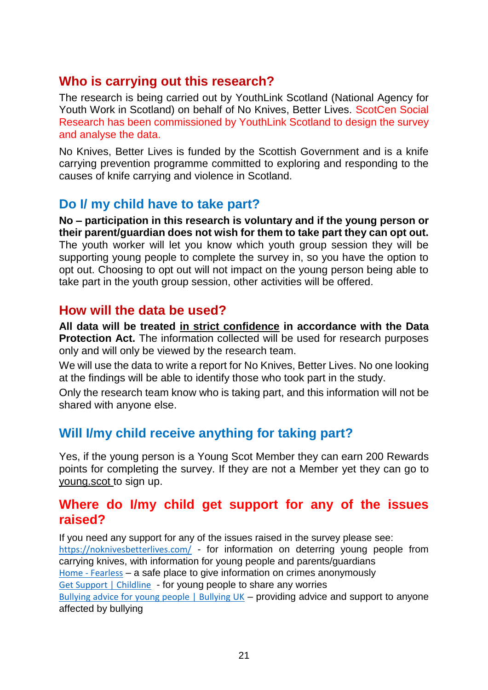# **Who is carrying out this research?**

The research is being carried out by YouthLink Scotland (National Agency for Youth Work in Scotland) on behalf of No Knives, Better Lives. ScotCen Social Research has been commissioned by YouthLink Scotland to design the survey and analyse the data.

No Knives, Better Lives is funded by the Scottish Government and is a knife carrying prevention programme committed to exploring and responding to the causes of knife carrying and violence in Scotland.

# **Do I/ my child have to take part?**

**No – participation in this research is voluntary and if the young person or their parent/guardian does not wish for them to take part they can opt out.**  The youth worker will let you know which youth group session they will be supporting young people to complete the survey in, so you have the option to opt out. Choosing to opt out will not impact on the young person being able to take part in the youth group session, other activities will be offered.

# **How will the data be used?**

**All data will be treated in strict confidence in accordance with the Data Protection Act.** The information collected will be used for research purposes only and will only be viewed by the research team.

We will use the data to write a report for No Knives, Better Lives. No one looking at the findings will be able to identify those who took part in the study.

Only the research team know who is taking part, and this information will not be shared with anyone else.

# **Will I/my child receive anything for taking part?**

Yes, if the young person is a Young Scot Member they can earn 200 Rewards points for completing the survey. If they are not a Member yet they can go to [young.scot t](https://membership.young.scot/)o sign up.

# **Where do I/my child get support for any of the issues raised?**

If you need any support for any of the issues raised in the survey please see: <https://noknivesbetterlives.com/> - for information on deterring young people from carrying knives, with information for young people and parents/guardians Home - [Fearless](https://www.fearless.org/en) – a safe place to give information on crimes anonymously [Get Support | Childline](https://www.childline.org.uk/get-support/) - for young people to share any worries [Bullying advice for young people | Bullying UK](https://www.bullying.co.uk/advice-for-young-people/) – providing advice and support to anyone affected by bullying